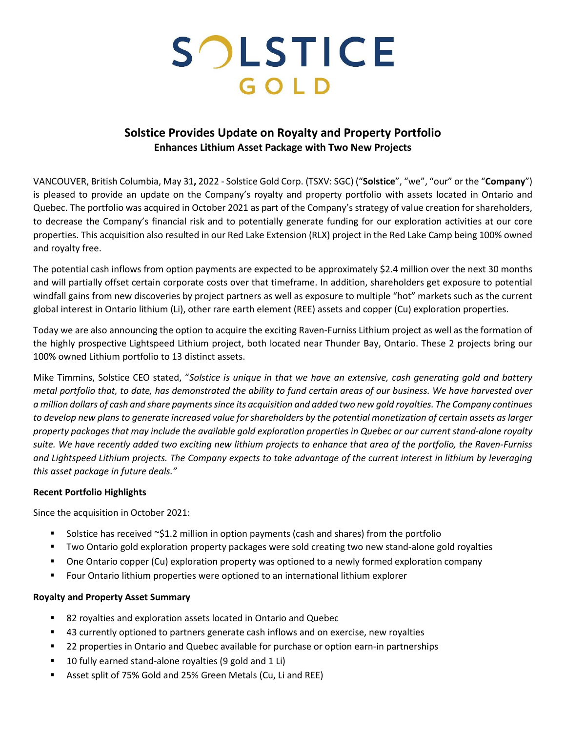# SOLSTICE GOLD

# **Solstice Provides Update on Royalty and Property Portfolio Enhances Lithium Asset Package with Two New Projects**

VANCOUVER, British Columbia, May 31**,** 2022 - Solstice Gold Corp. (TSXV: SGC) ("**Solstice**", "we", "our" or the "**Company**") is pleased to provide an update on the Company's royalty and property portfolio with assets located in Ontario and Quebec. The portfolio was acquired in October 2021 as part of the Company's strategy of value creation for shareholders, to decrease the Company's financial risk and to potentially generate funding for our exploration activities at our core properties. This acquisition also resulted in our Red Lake Extension (RLX) project in the Red Lake Camp being 100% owned and royalty free.

The potential cash inflows from option payments are expected to be approximately \$2.4 million over the next 30 months and will partially offset certain corporate costs over that timeframe. In addition, shareholders get exposure to potential windfall gains from new discoveries by project partners as well as exposure to multiple "hot" markets such as the current global interest in Ontario lithium (Li), other rare earth element (REE) assets and copper (Cu) exploration properties.

Today we are also announcing the option to acquire the exciting Raven-Furniss Lithium project as well as the formation of the highly prospective Lightspeed Lithium project, both located near Thunder Bay, Ontario. These 2 projects bring our 100% owned Lithium portfolio to 13 distinct assets.

Mike Timmins, Solstice CEO stated, "*Solstice is unique in that we have an extensive, cash generating gold and battery metal portfolio that, to date, has demonstrated the ability to fund certain areas of our business. We have harvested over a million dollars of cash and share payments since its acquisition and added two new gold royalties. The Company continues to develop new plans to generate increased value for shareholders by the potential monetization of certain assets as larger property packages that may include the available gold exploration properties in Quebec or our current stand-alone royalty suite. We have recently added two exciting new lithium projects to enhance that area of the portfolio, the Raven-Furniss and Lightspeed Lithium projects. The Company expects to take advantage of the current interest in lithium by leveraging this asset package in future deals."*

#### **Recent Portfolio Highlights**

Since the acquisition in October 2021:

- Solstice has received ~\$1.2 million in option payments (cash and shares) from the portfolio
- Two Ontario gold exploration property packages were sold creating two new stand-alone gold royalties
- One Ontario copper (Cu) exploration property was optioned to a newly formed exploration company
- Four Ontario lithium properties were optioned to an international lithium explorer

## **Royalty and Property Asset Summary**

- 82 royalties and exploration assets located in Ontario and Quebec
- 43 currently optioned to partners generate cash inflows and on exercise, new royalties
- 22 properties in Ontario and Quebec available for purchase or option earn-in partnerships
- 10 fully earned stand-alone royalties (9 gold and 1 Li)
- Asset split of 75% Gold and 25% Green Metals (Cu, Li and REE)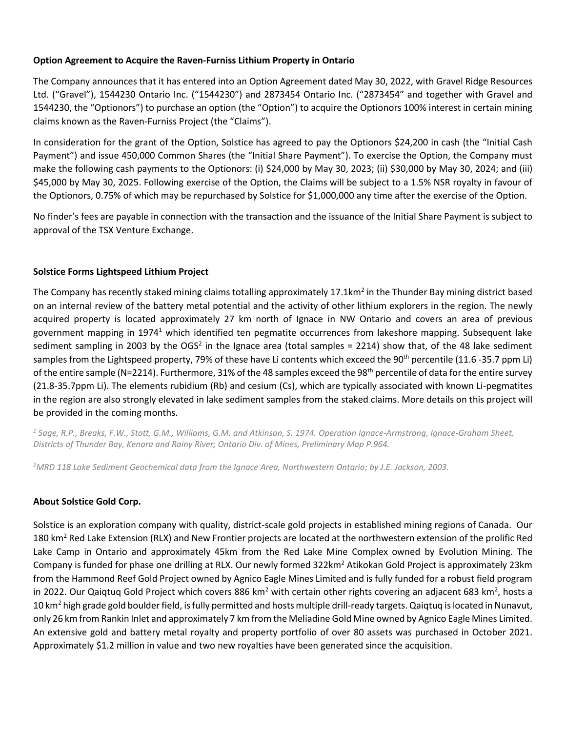#### **Option Agreement to Acquire the Raven-Furniss Lithium Property in Ontario**

The Company announces that it has entered into an Option Agreement dated May 30, 2022, with Gravel Ridge Resources Ltd. ("Gravel"), 1544230 Ontario Inc. ("1544230") and 2873454 Ontario Inc. ("2873454" and together with Gravel and 1544230, the "Optionors") to purchase an option (the "Option") to acquire the Optionors 100% interest in certain mining claims known as the Raven-Furniss Project (the "Claims").

In consideration for the grant of the Option, Solstice has agreed to pay the Optionors \$24,200 in cash (the "Initial Cash Payment") and issue 450,000 Common Shares (the "Initial Share Payment"). To exercise the Option, the Company must make the following cash payments to the Optionors: (i) \$24,000 by May 30, 2023; (ii) \$30,000 by May 30, 2024; and (iii) \$45,000 by May 30, 2025. Following exercise of the Option, the Claims will be subject to a 1.5% NSR royalty in favour of the Optionors, 0.75% of which may be repurchased by Solstice for \$1,000,000 any time after the exercise of the Option.

No finder's fees are payable in connection with the transaction and the issuance of the Initial Share Payment is subject to approval of the TSX Venture Exchange.

#### **Solstice Forms Lightspeed Lithium Project**

The Company has recently staked mining claims totalling approximately 17.1km<sup>2</sup> in the Thunder Bay mining district based on an internal review of the battery metal potential and the activity of other lithium explorers in the region. The newly acquired property is located approximately 27 km north of Ignace in NW Ontario and covers an area of previous government mapping in 1974<sup>1</sup> which identified ten pegmatite occurrences from lakeshore mapping. Subsequent lake sediment sampling in 2003 by the OGS<sup>2</sup> in the Ignace area (total samples = 2214) show that, of the 48 lake sediment samples from the Lightspeed property, 79% of these have Li contents which exceed the 90<sup>th</sup> percentile (11.6 -35.7 ppm Li) of the entire sample (N=2214). Furthermore, 31% of the 48 samples exceed the 98<sup>th</sup> percentile of data for the entire survey (21.8-35.7ppm Li). The elements rubidium (Rb) and cesium (Cs), which are typically associated with known Li-pegmatites in the region are also strongly elevated in lake sediment samples from the staked claims. More details on this project will be provided in the coming months.

*1 Sage, R.P., Breaks, F.W., Stott, G.M., Williams, G.M. and Atkinson, S. 1974. Operation Ignace-Armstrong, Ignace-Graham Sheet, Districts of Thunder Bay, Kenora and Rainy River; Ontario Div. of Mines, Preliminary Map P.964.*

*<sup>2</sup>MRD 118 Lake Sediment Geochemical data from the Ignace Area, Northwestern Ontario; by J.E. Jackson, 2003.*

## **About Solstice Gold Corp.**

Solstice is an exploration company with quality, district-scale gold projects in established mining regions of Canada. Our 180 km<sup>2</sup> Red Lake Extension (RLX) and New Frontier projects are located at the northwestern extension of the prolific Red Lake Camp in Ontario and approximately 45km from the Red Lake Mine Complex owned by Evolution Mining. The Company is funded for phase one drilling at RLX. Our newly formed 322km<sup>2</sup> Atikokan Gold Project is approximately 23km from the Hammond Reef Gold Project owned by Agnico Eagle Mines Limited and is fully funded for a robust field program in 2022. Our Qaiqtuq Gold Project which covers 886 km<sup>2</sup> with certain other rights covering an adjacent 683 km<sup>2</sup>, hosts a 10 km<sup>2</sup> high grade gold boulder field, is fully permitted and hosts multiple drill-ready targets. Qaiqtuq is located in Nunavut, only 26 km from Rankin Inlet and approximately 7 km from the Meliadine Gold Mine owned by Agnico Eagle Mines Limited. An extensive gold and battery metal royalty and property portfolio of over 80 assets was purchased in October 2021. Approximately \$1.2 million in value and two new royalties have been generated since the acquisition.